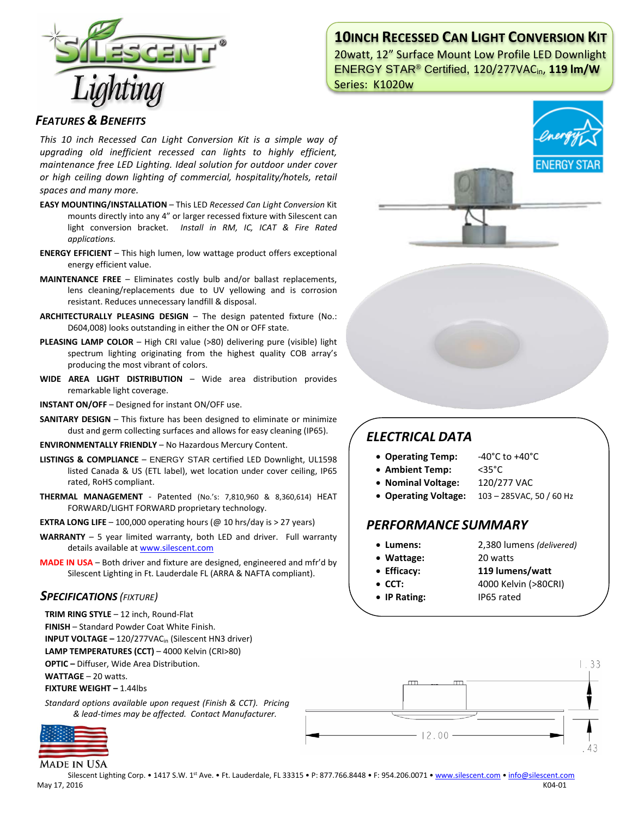

## **10INCH RECESSED CAN LIGHT CONVERSION KIT**

20watt, 12" Surface Mount Low Profile LED Downlight ENERGY STAR® Certified, 120/277VACin, **119 lm/W** Series: K1020w

### *FEATURES & BENEFITS*

*This 10 inch Recessed Can Light Conversion Kit is a simple way of upgrading old inefficient recessed can lights to highly efficient, maintenance free LED Lighting. Ideal solution for outdoor under cover or high ceiling down lighting of commercial, hospitality/hotels, retail spaces and many more.*

- **EASY MOUNTING/INSTALLATION**  This LED *Recessed Can Light Conversion* Kit mounts directly into any 4" or larger recessed fixture with Silescent can light conversion bracket. *Install in RM, IC, ICAT & Fire Rated applications.*
- **ENERGY EFFICIENT**  This high lumen, low wattage product offers exceptional energy efficient value.
- **MAINTENANCE FREE** Eliminates costly bulb and/or ballast replacements, lens cleaning/replacements due to UV yellowing and is corrosion resistant. Reduces unnecessary landfill & disposal.
- **ARCHITECTURALLY PLEASING DESIGN** The design patented fixture (No.: D604,008) looks outstanding in either the ON or OFF state.
- **PLEASING LAMP COLOR**  High CRI value (>80) delivering pure (visible) light spectrum lighting originating from the highest quality COB array's producing the most vibrant of colors.
- **WIDE AREA LIGHT DISTRIBUTION**  Wide area distribution provides remarkable light coverage.
- **INSTANT ON/OFF**  Designed for instant ON/OFF use.
- **SANITARY DESIGN** This fixture has been designed to eliminate or minimize dust and germ collecting surfaces and allows for easy cleaning (IP65).
- **ENVIRONMENTALLY FRIENDLY**  No Hazardous Mercury Content.
- **LISTINGS & COMPLIANCE** ENERGY STAR certified LED Downlight, UL1598 listed Canada & US (ETL label), wet location under cover ceiling, IP65 rated, RoHS compliant.
- **THERMAL MANAGEMENT**  Patented (No.'s: 7,810,960 & 8,360,614) HEAT FORWARD/LIGHT FORWARD proprietary technology.
- **EXTRA LONG LIFE**  $-$  100,000 operating hours ( $@$  10 hrs/day is  $>$  27 years)
- **WARRANTY** 5 year limited warranty, both LED and driver. Full warranty details available a[t www.silescent.com](http://www.silescent.com/)
- **MADE IN USA** Both driver and fixture are designed, engineered and mfr'd by Silescent Lighting in Ft. Lauderdale FL (ARRA & NAFTA compliant).

### *SPECIFICATIONS (FIXTURE)*

- **TRIM RING STYLE** 12 inch, Round-Flat
- **FINISH** Standard Powder Coat White Finish.
- **INPUT VOLTAGE –** 120/277VACin (Silescent HN3 driver)

**LAMP TEMPERATURES (CCT)** – 4000 Kelvin (CRI>80)

**OPTIC –** Diffuser, Wide Area Distribution.

**WATTAGE** – 20 watts.

**FIXTURE WEIGHT –** 1.44lbs

*Standard options available upon request (Finish & CCT). Pricing & lead-times may be affected. Contact Manufacturer.*



**MADE IN USA** 



# *ELECTRICAL DATA*

- **Operating Temp:** -40°C to +40°C
- **Ambient Temp:** <35°C
- **Nominal Voltage:** 120/277 VAC
- **Operating Voltage:** 103 285VAC, 50 / 60 Hz

### *PERFORMANCE SUMMARY*

- 
- **Lumens:** 2,380 lumens *(delivered)*
- **Wattage:** 20 watts
- **Efficacy: 119 lumens/watt**
- **CCT:** 4000 Kelvin (>80CRI)
- **IP Rating:** IP65 rated



Silescent Lighting Corp. • 1417 S.W. 1st Ave. • Ft. Lauderdale, FL 33315 • P: 877.766.8448 • F: 954.206.0071 • [www.silescent.com](http://www.silescent.com/) • [info@silescent.com](mailto:info@silescent.com) May 17, 2016 K04-01